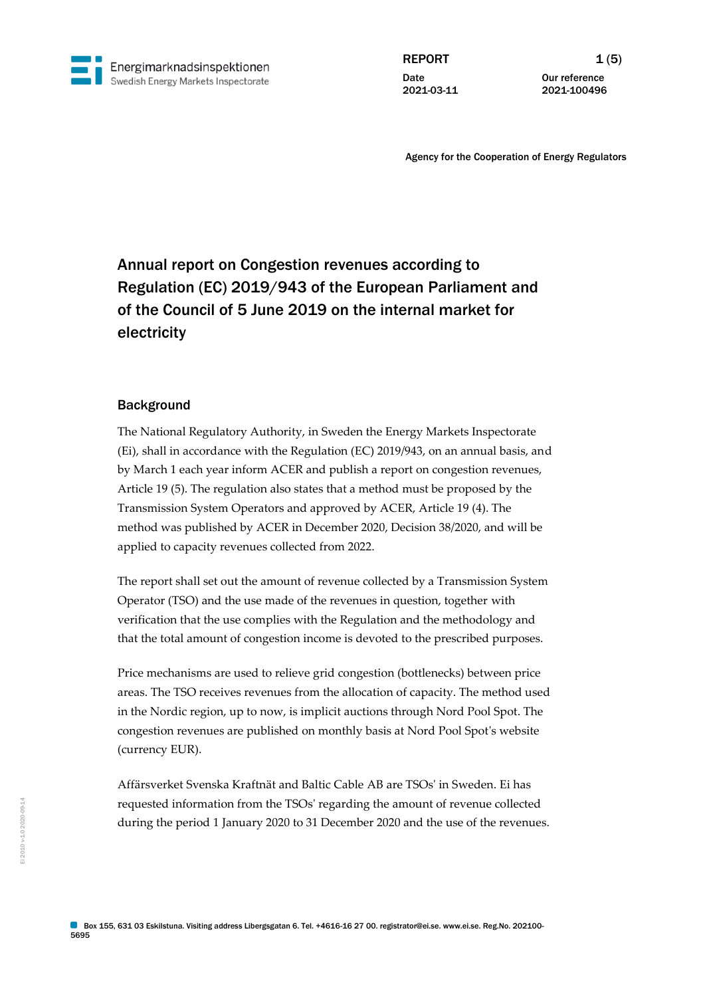

REPORT  $1(5)$ **Date** 2021-03-11

Our reference 2021-100496

Agency for the Cooperation of Energy Regulators

# Annual report on Congestion revenues according to Regulation (EC) 2019/943 of the European Parliament and of the Council of 5 June 2019 on the internal market for electricity

## **Background**

The National Regulatory Authority, in Sweden the Energy Markets Inspectorate (Ei), shall in accordance with the Regulation (EC) 2019/943, on an annual basis, and by March 1 each year inform ACER and publish a report on congestion revenues, Article 19 (5). The regulation also states that a method must be proposed by the Transmission System Operators and approved by ACER, Article 19 (4). The method was published by ACER in December 2020, Decision 38/2020, and will be applied to capacity revenues collected from 2022.

The report shall set out the amount of revenue collected by a Transmission System Operator (TSO) and the use made of the revenues in question, together with verification that the use complies with the Regulation and the methodology and that the total amount of congestion income is devoted to the prescribed purposes.

Price mechanisms are used to relieve grid congestion (bottlenecks) between price areas. The TSO receives revenues from the allocation of capacity. The method used in the Nordic region, up to now, is implicit auctions through Nord Pool Spot. The congestion revenues are published on monthly basis at Nord Pool Spot's website (currency EUR).

Affärsverket Svenska Kraftnät and Baltic Cable AB are TSOs' in Sweden. Ei has requested information from the TSOs' regarding the amount of revenue collected during the period 1 January 2020 to 31 December 2020 and the use of the revenues.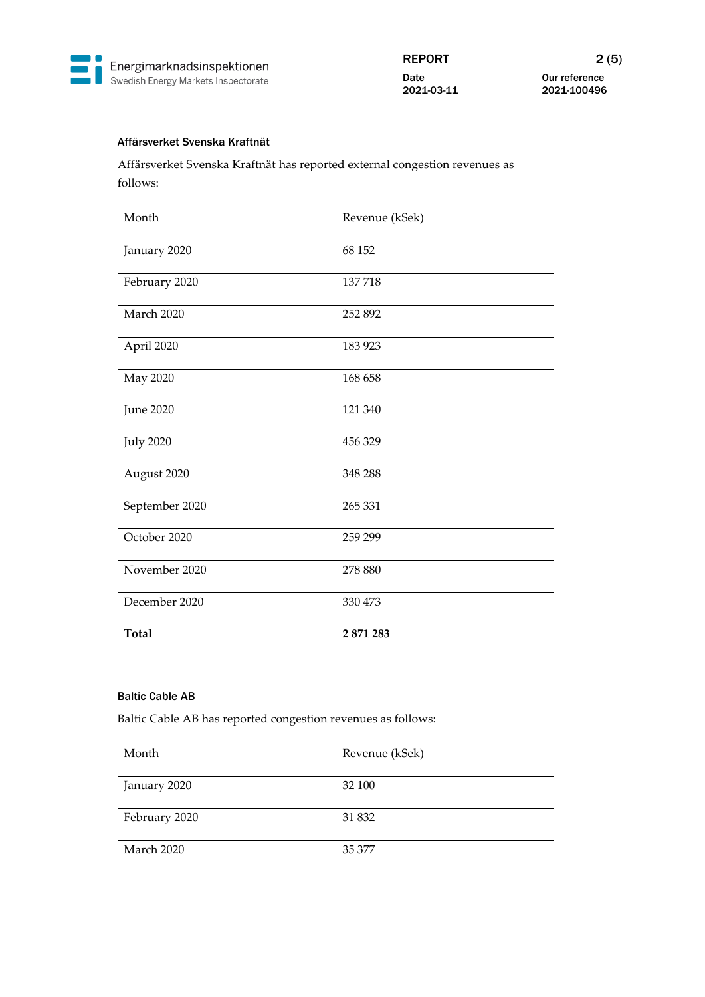

Our reference 2021-100496

## Affärsverket Svenska Kraftnät

Affärsverket Svenska Kraftnät has reported external congestion revenues as follows:

| Month            | Revenue (kSek) |
|------------------|----------------|
| January 2020     | 68 152         |
| February 2020    | 137718         |
| March 2020       | 252 892        |
| April 2020       | 183 923        |
| May 2020         | 168 658        |
| <b>June 2020</b> | 121 340        |
| <b>July 2020</b> | 456 329        |
| August 2020      | 348 288        |
| September 2020   | 265 331        |
| October 2020     | 259 299        |
| November 2020    | 278 880        |
| December 2020    | 330 473        |
| <b>Total</b>     | 2 871 283      |

## Baltic Cable AB

Baltic Cable AB has reported congestion revenues as follows:

| Month         | Revenue (kSek) |
|---------------|----------------|
| January 2020  | 32 100         |
| February 2020 | 31 832         |
| March 2020    | 35 377         |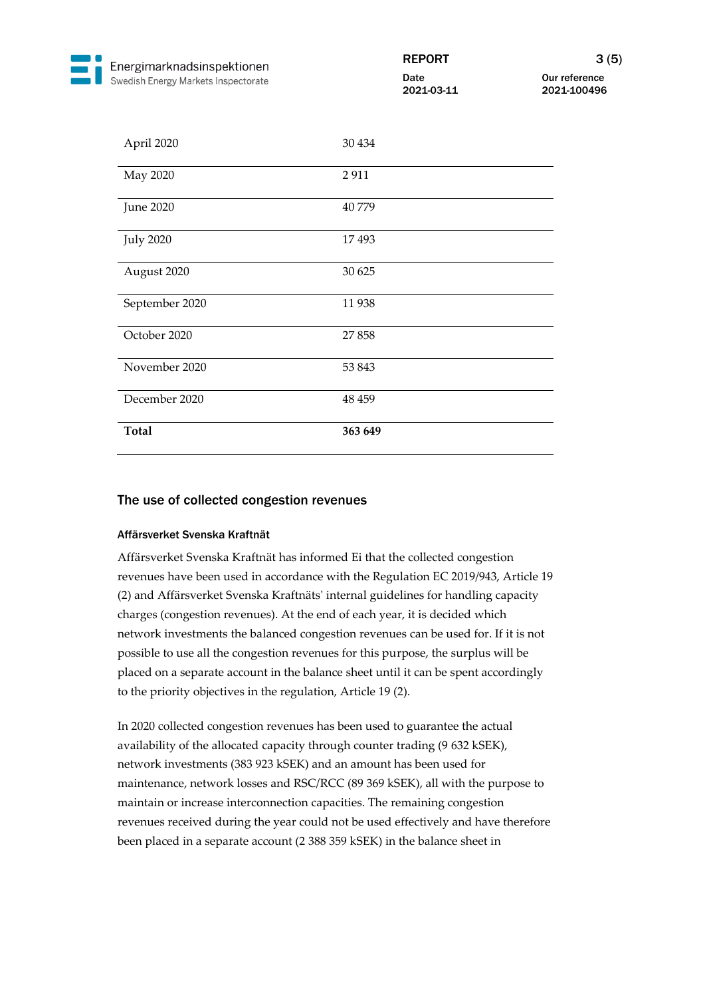

Our reference 2021-100496

| April 2020       | 30 434  |
|------------------|---------|
| May 2020         | 2911    |
| <b>June 2020</b> | 40779   |
| <b>July 2020</b> | 17493   |
| August 2020      | 30 625  |
| September 2020   | 11938   |
| October 2020     | 27858   |
| November 2020    | 53 843  |
| December 2020    | 48 459  |
| <b>Total</b>     | 363 649 |

## The use of collected congestion revenues

### Affärsverket Svenska Kraftnät

Affärsverket Svenska Kraftnät has informed Ei that the collected congestion revenues have been used in accordance with the Regulation EC 2019/943, Article 19 (2) and Affärsverket Svenska Kraftnäts' internal guidelines for handling capacity charges (congestion revenues). At the end of each year, it is decided which network investments the balanced congestion revenues can be used for. If it is not possible to use all the congestion revenues for this purpose, the surplus will be placed on a separate account in the balance sheet until it can be spent accordingly to the priority objectives in the regulation, Article 19 (2).

In 2020 collected congestion revenues has been used to guarantee the actual availability of the allocated capacity through counter trading (9 632 kSEK), network investments (383 923 kSEK) and an amount has been used for maintenance, network losses and RSC/RCC (89 369 kSEK), all with the purpose to maintain or increase interconnection capacities. The remaining congestion revenues received during the year could not be used effectively and have therefore been placed in a separate account (2 388 359 kSEK) in the balance sheet in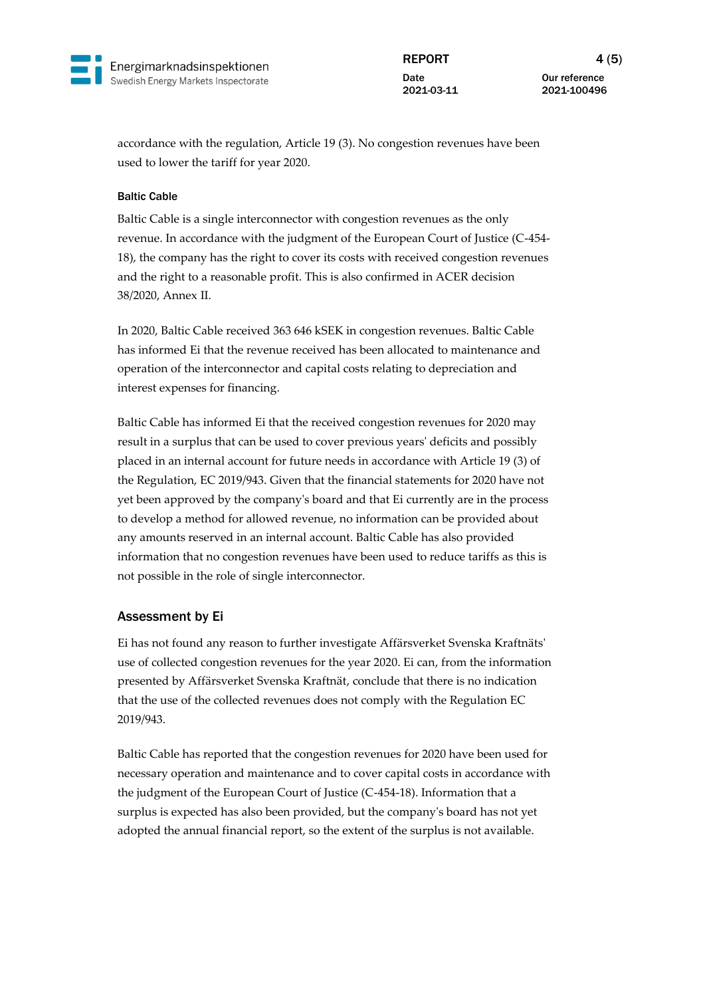

REPORT 4 (5) **Date** 2021-03-11

Our reference 2021-100496

accordance with the regulation, Article 19 (3). No congestion revenues have been used to lower the tariff for year 2020.

#### Baltic Cable

Baltic Cable is a single interconnector with congestion revenues as the only revenue. In accordance with the judgment of the European Court of Justice (C-454- 18), the company has the right to cover its costs with received congestion revenues and the right to a reasonable profit. This is also confirmed in ACER decision 38/2020, Annex II.

In 2020, Baltic Cable received 363 646 kSEK in congestion revenues. Baltic Cable has informed Ei that the revenue received has been allocated to maintenance and operation of the interconnector and capital costs relating to depreciation and interest expenses for financing.

Baltic Cable has informed Ei that the received congestion revenues for 2020 may result in a surplus that can be used to cover previous years' deficits and possibly placed in an internal account for future needs in accordance with Article 19 (3) of the Regulation, EC 2019/943. Given that the financial statements for 2020 have not yet been approved by the company's board and that Ei currently are in the process to develop a method for allowed revenue, no information can be provided about any amounts reserved in an internal account. Baltic Cable has also provided information that no congestion revenues have been used to reduce tariffs as this is not possible in the role of single interconnector.

## Assessment by Ei

Ei has not found any reason to further investigate Affärsverket Svenska Kraftnäts' use of collected congestion revenues for the year 2020. Ei can, from the information presented by Affärsverket Svenska Kraftnät, conclude that there is no indication that the use of the collected revenues does not comply with the Regulation EC 2019/943.

Baltic Cable has reported that the congestion revenues for 2020 have been used for necessary operation and maintenance and to cover capital costs in accordance with the judgment of the European Court of Justice (C-454-18). Information that a surplus is expected has also been provided, but the company's board has not yet adopted the annual financial report, so the extent of the surplus is not available.